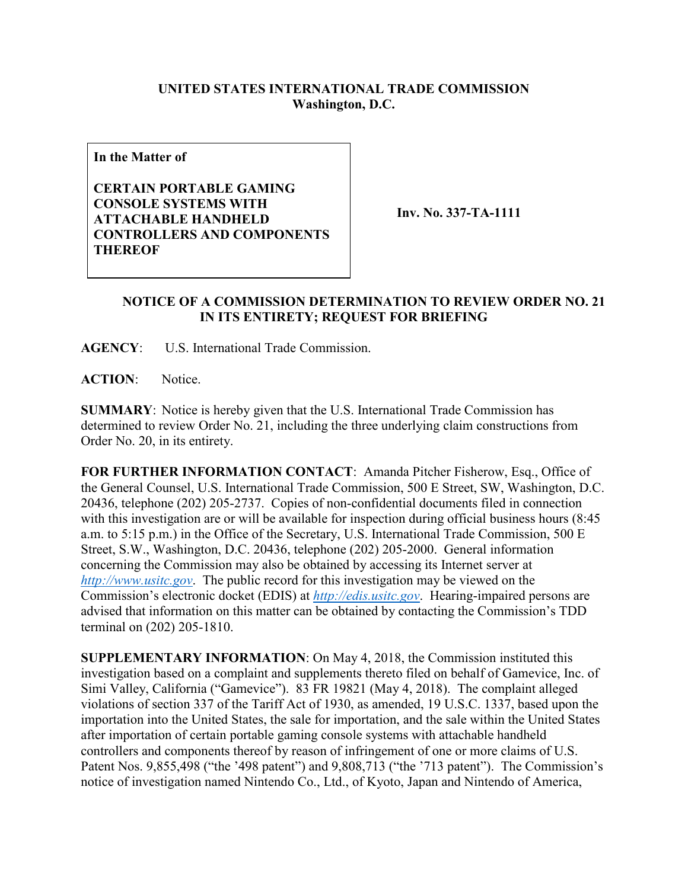## **UNITED STATES INTERNATIONAL TRADE COMMISSION Washington, D.C.**

**In the Matter of**

**CERTAIN PORTABLE GAMING CONSOLE SYSTEMS WITH ATTACHABLE HANDHELD CONTROLLERS AND COMPONENTS THEREOF**

**Inv. No. 337-TA-1111**

## **NOTICE OF A COMMISSION DETERMINATION TO REVIEW ORDER NO. 21 IN ITS ENTIRETY; REQUEST FOR BRIEFING**

**AGENCY**: U.S. International Trade Commission.

**ACTION**: Notice.

**SUMMARY**: Notice is hereby given that the U.S. International Trade Commission has determined to review Order No. 21, including the three underlying claim constructions from Order No. 20, in its entirety.

**FOR FURTHER INFORMATION CONTACT**: Amanda Pitcher Fisherow, Esq., Office of the General Counsel, U.S. International Trade Commission, 500 E Street, SW, Washington, D.C. 20436, telephone (202) 205-2737. Copies of non-confidential documents filed in connection with this investigation are or will be available for inspection during official business hours (8:45 a.m. to 5:15 p.m.) in the Office of the Secretary, U.S. International Trade Commission, 500 E Street, S.W., Washington, D.C. 20436, telephone (202) 205-2000. General information concerning the Commission may also be obtained by accessing its Internet server at *[http://www.usitc.gov](http://www.usitc.gov/)*. The public record for this investigation may be viewed on the Commission's electronic docket (EDIS) at *[http://edis.usitc.gov](http://edis.usitc.gov/)*. Hearing-impaired persons are advised that information on this matter can be obtained by contacting the Commission's TDD terminal on (202) 205-1810.

**SUPPLEMENTARY INFORMATION**: On May 4, 2018, the Commission instituted this investigation based on a complaint and supplements thereto filed on behalf of Gamevice, Inc. of Simi Valley, California ("Gamevice"). 83 FR 19821 (May 4, 2018). The complaint alleged violations of section 337 of the Tariff Act of 1930, as amended, 19 U.S.C. 1337, based upon the importation into the United States, the sale for importation, and the sale within the United States after importation of certain portable gaming console systems with attachable handheld controllers and components thereof by reason of infringement of one or more claims of U.S. Patent Nos. 9,855,498 ("the '498 patent") and 9,808,713 ("the '713 patent"). The Commission's notice of investigation named Nintendo Co., Ltd., of Kyoto, Japan and Nintendo of America,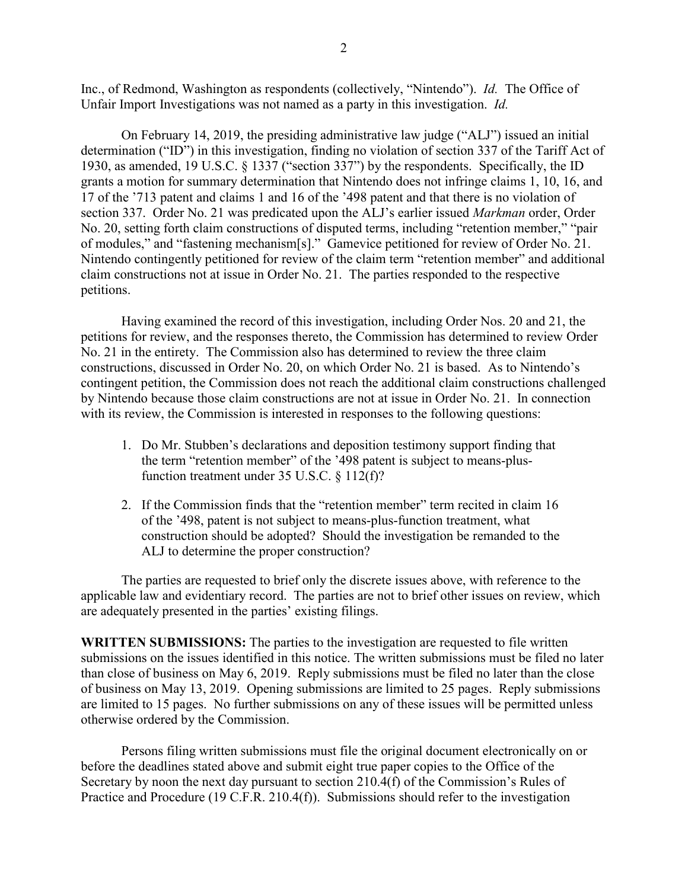Inc., of Redmond, Washington as respondents (collectively, "Nintendo"). *Id.* The Office of Unfair Import Investigations was not named as a party in this investigation. *Id.*

On February 14, 2019, the presiding administrative law judge ("ALJ") issued an initial determination ("ID") in this investigation, finding no violation of section 337 of the Tariff Act of 1930, as amended, 19 U.S.C. § 1337 ("section 337") by the respondents. Specifically, the ID grants a motion for summary determination that Nintendo does not infringe claims 1, 10, 16, and 17 of the '713 patent and claims 1 and 16 of the '498 patent and that there is no violation of section 337. Order No. 21 was predicated upon the ALJ's earlier issued *Markman* order, Order No. 20, setting forth claim constructions of disputed terms, including "retention member," "pair of modules," and "fastening mechanism[s]." Gamevice petitioned for review of Order No. 21. Nintendo contingently petitioned for review of the claim term "retention member" and additional claim constructions not at issue in Order No. 21. The parties responded to the respective petitions.

Having examined the record of this investigation, including Order Nos. 20 and 21, the petitions for review, and the responses thereto, the Commission has determined to review Order No. 21 in the entirety. The Commission also has determined to review the three claim constructions, discussed in Order No. 20, on which Order No. 21 is based. As to Nintendo's contingent petition, the Commission does not reach the additional claim constructions challenged by Nintendo because those claim constructions are not at issue in Order No. 21. In connection with its review, the Commission is interested in responses to the following questions:

- 1. Do Mr. Stubben's declarations and deposition testimony support finding that the term "retention member" of the '498 patent is subject to means-plusfunction treatment under 35 U.S.C. § 112(f)?
- 2. If the Commission finds that the "retention member" term recited in claim 16 of the '498, patent is not subject to means-plus-function treatment, what construction should be adopted? Should the investigation be remanded to the ALJ to determine the proper construction?

The parties are requested to brief only the discrete issues above, with reference to the applicable law and evidentiary record. The parties are not to brief other issues on review, which are adequately presented in the parties' existing filings.

**WRITTEN SUBMISSIONS:** The parties to the investigation are requested to file written submissions on the issues identified in this notice. The written submissions must be filed no later than close of business on May 6, 2019. Reply submissions must be filed no later than the close of business on May 13, 2019. Opening submissions are limited to 25 pages. Reply submissions are limited to 15 pages. No further submissions on any of these issues will be permitted unless otherwise ordered by the Commission.

Persons filing written submissions must file the original document electronically on or before the deadlines stated above and submit eight true paper copies to the Office of the Secretary by noon the next day pursuant to section 210.4(f) of the Commission's Rules of Practice and Procedure (19 C.F.R. 210.4(f)). Submissions should refer to the investigation